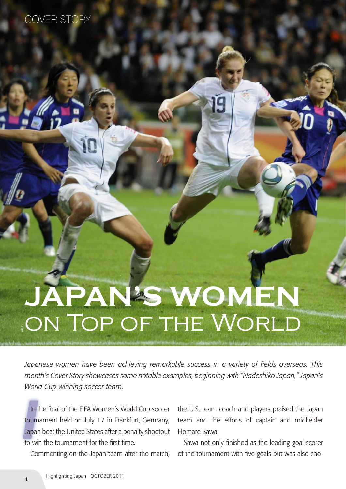## COVER STORY

## ON TOP OF THE WORLD **Japan's Women**

Japanese women have been achieving remarkable success in a variety of fields overseas. This *month's Cover Story showcases some notable examples, beginning with "Nadeshiko Japan," Japan's World Cup winning soccer team.*

**I**n<br>tourn<br>Japar In the final of the FIFA Women's World Cup soccer tournament held on July 17 in Frankfurt, Germany, Japan beat the United States after a penalty shootout to win the tournament for the first time.

Commenting on the Japan team after the match,

the U.S. team coach and players praised the Japan team and the efforts of captain and midfielder Homare Sawa.

Sawa not only finished as the leading goal scorer of the tournament with five goals but was also cho-